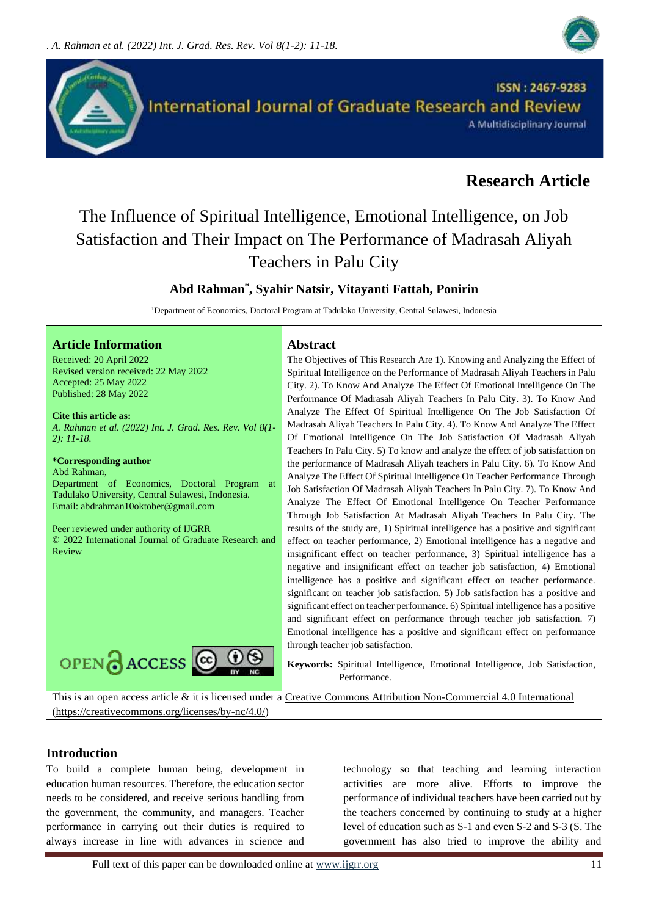



# **Research Article**

# The Influence of Spiritual Intelligence, Emotional Intelligence, on Job Satisfaction and Their Impact on The Performance of Madrasah Aliyah Teachers in Palu City

# **Abd Rahman\* , Syahir Natsir, Vitayanti Fattah, Ponirin**

<sup>1</sup>Department of Economics, Doctoral Program at Tadulako University, Central Sulawesi, Indonesia

#### **Article Information Abstract**

Received: 20 April 2022 Revised version received: 22 May 2022 Accepted: 25 May 2022 Published: 28 May 2022

**Cite this article as:** *A. Rahman et al. (2022) Int. J. Grad. Res. Rev. Vol 8(1- 2): 11-18.* 

#### **\*Corresponding author**

Abd Rahman,

Department of Economics, Doctoral Program at Tadulako University, Central Sulawesi, Indonesia. Email: abdrahman10oktober@gmail.com

Peer reviewed under authority of IJGRR © 2022 International Journal of Graduate Research and Review



The Objectives of This Research Are 1). Knowing and Analyzing the Effect of Spiritual Intelligence on the Performance of Madrasah Aliyah Teachers in Palu City. 2). To Know And Analyze The Effect Of Emotional Intelligence On The Performance Of Madrasah Aliyah Teachers In Palu City. 3). To Know And Analyze The Effect Of Spiritual Intelligence On The Job Satisfaction Of Madrasah Aliyah Teachers In Palu City. 4). To Know And Analyze The Effect Of Emotional Intelligence On The Job Satisfaction Of Madrasah Aliyah Teachers In Palu City. 5) To know and analyze the effect of job satisfaction on the performance of Madrasah Aliyah teachers in Palu City. 6). To Know And Analyze The Effect Of Spiritual Intelligence On Teacher Performance Through Job Satisfaction Of Madrasah Aliyah Teachers In Palu City. 7). To Know And Analyze The Effect Of Emotional Intelligence On Teacher Performance Through Job Satisfaction At Madrasah Aliyah Teachers In Palu City. The results of the study are, 1) Spiritual intelligence has a positive and significant effect on teacher performance, 2) Emotional intelligence has a negative and insignificant effect on teacher performance, 3) Spiritual intelligence has a negative and insignificant effect on teacher job satisfaction, 4) Emotional intelligence has a positive and significant effect on teacher performance. significant on teacher job satisfaction. 5) Job satisfaction has a positive and significant effect on teacher performance. 6) Spiritual intelligence has a positive and significant effect on performance through teacher job satisfaction. 7) Emotional intelligence has a positive and significant effect on performance through teacher job satisfaction.

**Keywords:** Spiritual Intelligence, Emotional Intelligence, Job Satisfaction, Performance.

This is an open access article & it is licensed under a [Creative Commons Attribution Non-Commercial 4.0 International](https://creativecommons.org/licenses/by-nc/4.0/) [\(https://creativecommons.org/licenses/by-nc/4.0/\)](https://creativecommons.org/licenses/by-nc/4.0/)

#### **Introduction**

To build a complete human being, development in education human resources. Therefore, the education sector needs to be considered, and receive serious handling from the government, the community, and managers. Teacher performance in carrying out their duties is required to always increase in line with advances in science and

technology so that teaching and learning interaction activities are more alive. Efforts to improve the performance of individual teachers have been carried out by the teachers concerned by continuing to study at a higher level of education such as S-1 and even S-2 and S-3 (S. The government has also tried to improve the ability and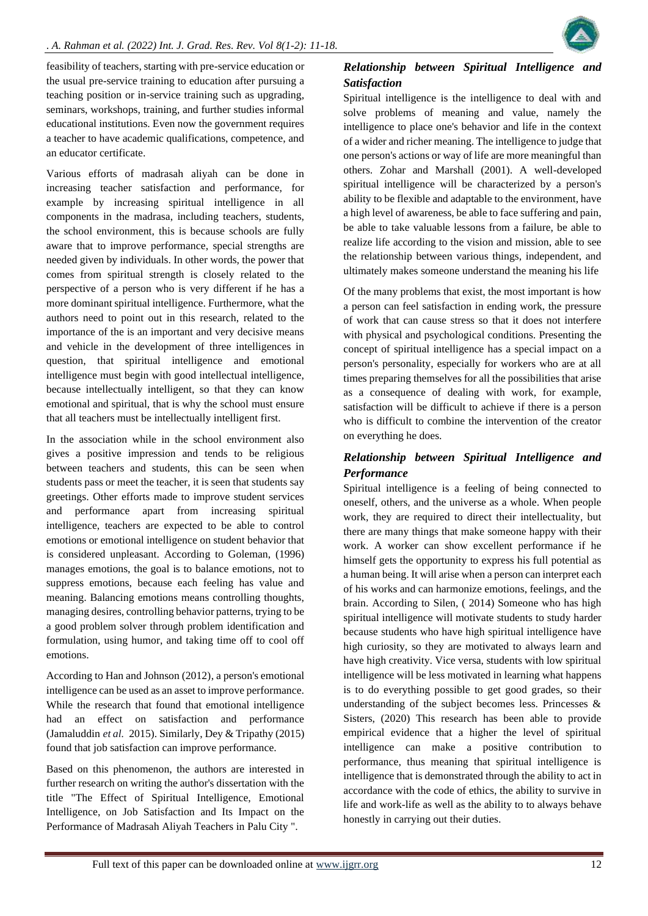

feasibility of teachers, starting with pre-service education or the usual pre-service training to education after pursuing a teaching position or in-service training such as upgrading, seminars, workshops, training, and further studies informal educational institutions. Even now the government requires a teacher to have academic qualifications, competence, and an educator certificate.

Various efforts of madrasah aliyah can be done in increasing teacher satisfaction and performance, for example by increasing spiritual intelligence in all components in the madrasa, including teachers, students, the school environment, this is because schools are fully aware that to improve performance, special strengths are needed given by individuals. In other words, the power that comes from spiritual strength is closely related to the perspective of a person who is very different if he has a more dominant spiritual intelligence. Furthermore, what the authors need to point out in this research, related to the importance of the is an important and very decisive means and vehicle in the development of three intelligences in question, that spiritual intelligence and emotional intelligence must begin with good intellectual intelligence, because intellectually intelligent, so that they can know emotional and spiritual, that is why the school must ensure that all teachers must be intellectually intelligent first.

In the association while in the school environment also gives a positive impression and tends to be religious between teachers and students, this can be seen when students pass or meet the teacher, it is seen that students say greetings. Other efforts made to improve student services and performance apart from increasing spiritual intelligence, teachers are expected to be able to control emotions or emotional intelligence on student behavior that is considered unpleasant. According to Goleman, (1996) manages emotions, the goal is to balance emotions, not to suppress emotions, because each feeling has value and meaning. Balancing emotions means controlling thoughts, managing desires, controlling behavior patterns, trying to be a good problem solver through problem identification and formulation, using humor, and taking time off to cool off emotions.

According to Han and Johnson (2012), a person's emotional intelligence can be used as an asset to improve performance. While the research that found that emotional intelligence had an effect on satisfaction and performance (Jamaluddin *et al.* 2015). Similarly, Dey & Tripathy (2015) found that job satisfaction can improve performance.

Based on this phenomenon, the authors are interested in further research on writing the author's dissertation with the title "The Effect of Spiritual Intelligence, Emotional Intelligence, on Job Satisfaction and Its Impact on the Performance of Madrasah Aliyah Teachers in Palu City ".

# *Relationship between Spiritual Intelligence and Satisfaction*

Spiritual intelligence is the intelligence to deal with and solve problems of meaning and value, namely the intelligence to place one's behavior and life in the context of a wider and richer meaning. The intelligence to judge that one person's actions or way of life are more meaningful than others. Zohar and Marshall (2001). A well-developed spiritual intelligence will be characterized by a person's ability to be flexible and adaptable to the environment, have a high level of awareness, be able to face suffering and pain, be able to take valuable lessons from a failure, be able to realize life according to the vision and mission, able to see the relationship between various things, independent, and ultimately makes someone understand the meaning his life

Of the many problems that exist, the most important is how a person can feel satisfaction in ending work, the pressure of work that can cause stress so that it does not interfere with physical and psychological conditions. Presenting the concept of spiritual intelligence has a special impact on a person's personality, especially for workers who are at all times preparing themselves for all the possibilities that arise as a consequence of dealing with work, for example, satisfaction will be difficult to achieve if there is a person who is difficult to combine the intervention of the creator on everything he does.

# *Relationship between Spiritual Intelligence and Performance*

Spiritual intelligence is a feeling of being connected to oneself, others, and the universe as a whole. When people work, they are required to direct their intellectuality, but there are many things that make someone happy with their work. A worker can show excellent performance if he himself gets the opportunity to express his full potential as a human being. It will arise when a person can interpret each of his works and can harmonize emotions, feelings, and the brain. According to Silen, ( 2014) Someone who has high spiritual intelligence will motivate students to study harder because students who have high spiritual intelligence have high curiosity, so they are motivated to always learn and have high creativity. Vice versa, students with low spiritual intelligence will be less motivated in learning what happens is to do everything possible to get good grades, so their understanding of the subject becomes less. Princesses & Sisters, (2020) This research has been able to provide empirical evidence that a higher the level of spiritual intelligence can make a positive contribution to performance, thus meaning that spiritual intelligence is intelligence that is demonstrated through the ability to act in accordance with the code of ethics, the ability to survive in life and work-life as well as the ability to to always behave honestly in carrying out their duties.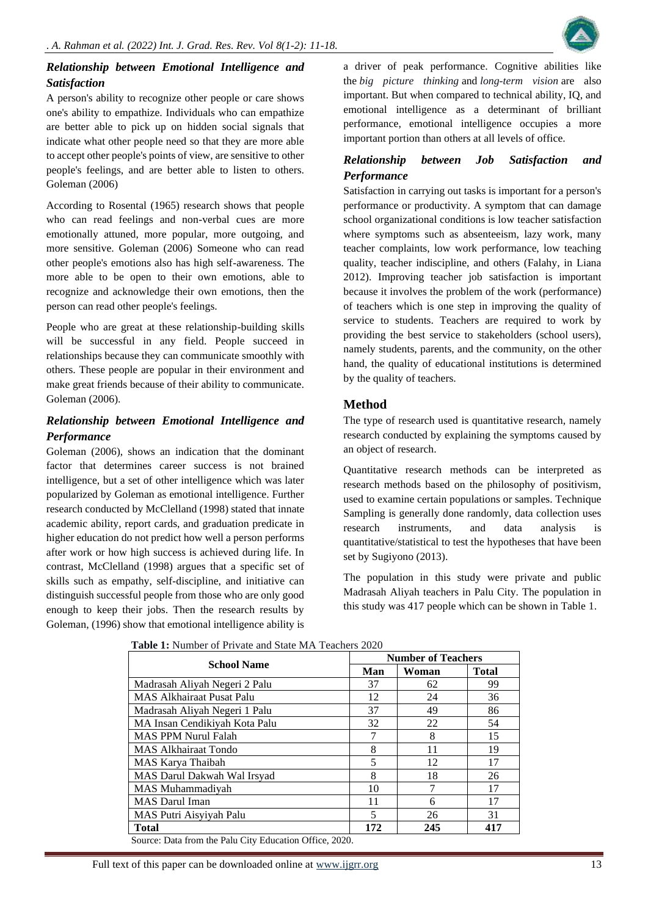

# *Relationship between Emotional Intelligence and Satisfaction*

A person's ability to recognize other people or care shows one's ability to empathize. Individuals who can empathize are better able to pick up on hidden social signals that indicate what other people need so that they are more able to accept other people's points of view, are sensitive to other people's feelings, and are better able to listen to others. Goleman (2006)

According to Rosental (1965) research shows that people who can read feelings and non-verbal cues are more emotionally attuned, more popular, more outgoing, and more sensitive. Goleman (2006) Someone who can read other people's emotions also has high self-awareness. The more able to be open to their own emotions, able to recognize and acknowledge their own emotions, then the person can read other people's feelings.

People who are great at these relationship-building skills will be successful in any field. People succeed in relationships because they can communicate smoothly with others. These people are popular in their environment and make great friends because of their ability to communicate. Goleman (2006).

# *Relationship between Emotional Intelligence and Performance*

Goleman (2006), shows an indication that the dominant factor that determines career success is not brained intelligence, but a set of other intelligence which was later popularized by Goleman as emotional intelligence. Further research conducted by McClelland (1998) stated that innate academic ability, report cards, and graduation predicate in higher education do not predict how well a person performs after work or how high success is achieved during life. In contrast, McClelland (1998) argues that a specific set of skills such as empathy, self-discipline, and initiative can distinguish successful people from those who are only good enough to keep their jobs. Then the research results by Goleman, (1996) show that emotional intelligence ability is

a driver of peak performance. Cognitive abilities like the *big picture thinking* and *long-term vision* are also important. But when compared to technical ability, IQ, and emotional intelligence as a determinant of brilliant performance, emotional intelligence occupies a more important portion than others at all levels of office.

# *Relationship between Job Satisfaction and Performance*

Satisfaction in carrying out tasks is important for a person's performance or productivity. A symptom that can damage school organizational conditions is low teacher satisfaction where symptoms such as absenteeism, lazy work, many teacher complaints, low work performance, low teaching quality, teacher indiscipline, and others (Falahy, in Liana 2012). Improving teacher job satisfaction is important because it involves the problem of the work (performance) of teachers which is one step in improving the quality of service to students. Teachers are required to work by providing the best service to stakeholders (school users), namely students, parents, and the community, on the other hand, the quality of educational institutions is determined by the quality of teachers.

# **Method**

The type of research used is quantitative research, namely research conducted by explaining the symptoms caused by an object of research.

Quantitative research methods can be interpreted as research methods based on the philosophy of positivism, used to examine certain populations or samples. Technique Sampling is generally done randomly, data collection uses research instruments, and data analysis is quantitative/statistical to test the hypotheses that have been set by Sugiyono (2013).

The population in this study were private and public Madrasah Aliyah teachers in Palu City. The population in this study was 417 people which can be shown in Table 1.

|                                                       |                          | <b>Number of Teachers</b> |              |  |  |
|-------------------------------------------------------|--------------------------|---------------------------|--------------|--|--|
| <b>School Name</b>                                    | Man                      | Woman                     | <b>Total</b> |  |  |
| Madrasah Aliyah Negeri 2 Palu                         | 37                       | 62                        | 99           |  |  |
| <b>MAS Alkhairaat Pusat Palu</b>                      | 12                       | 24                        | 36           |  |  |
| Madrasah Aliyah Negeri 1 Palu                         | 37                       | 49                        | 86           |  |  |
| MA Insan Cendikiyah Kota Palu                         | 32                       | 22                        | 54           |  |  |
| <b>MAS PPM Nurul Falah</b>                            |                          | 8                         | 15           |  |  |
| <b>MAS Alkhairaat Tondo</b>                           | 8                        | 11                        | 19           |  |  |
| MAS Karya Thaibah                                     | 5                        | 12                        | 17           |  |  |
| MAS Darul Dakwah Wal Irsyad                           | 8                        | 18                        | 26           |  |  |
| MAS Muhammadiyah                                      | 10                       | 7                         | 17           |  |  |
| <b>MAS</b> Darul Iman                                 | 11                       | 6                         | 17           |  |  |
| MAS Putri Aisyiyah Palu                               | $\overline{\phantom{0}}$ | 26                        | 31           |  |  |
| <b>Total</b>                                          | 172                      | 245                       | 417          |  |  |
| Source: Data from the Palu City Education Office 2020 |                          |                           |              |  |  |

**Table 1:** Number of Private and State MA Teachers 2020

Source: Data from the Palu City Education Office, 2020.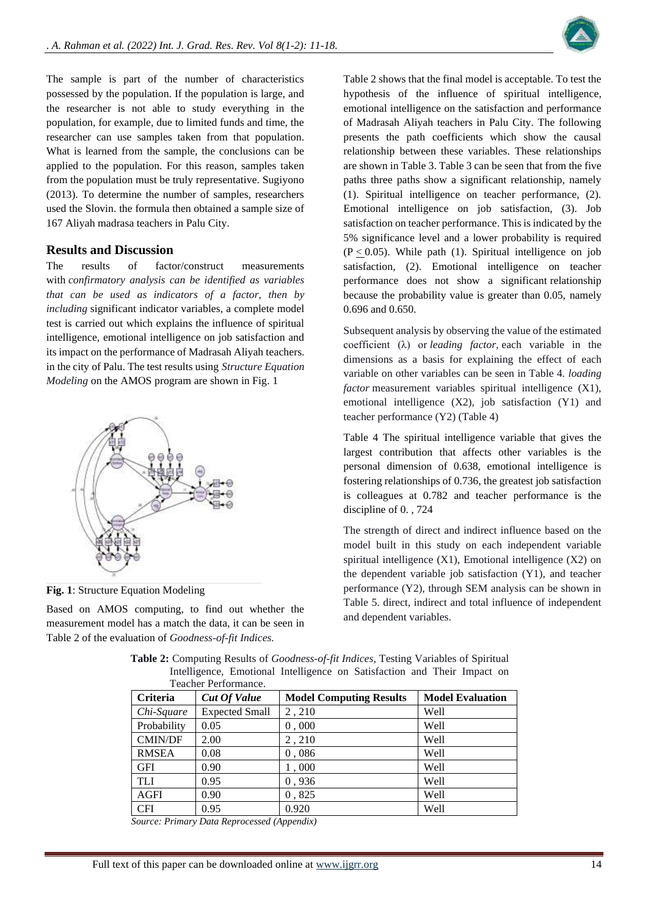

The sample is part of the number of characteristics possessed by the population. If the population is large, and the researcher is not able to study everything in the population, for example, due to limited funds and time, the researcher can use samples taken from that population. What is learned from the sample, the conclusions can be applied to the population. For this reason, samples taken from the population must be truly representative. Sugiyono (2013). To determine the number of samples, researchers used the Slovin. the formula then obtained a sample size of 167 Aliyah madrasa teachers in Palu City.

#### **Results and Discussion**

The results of factor/construct measurements with *confirmatory analysis can be identified as variables that can be used as indicators of a factor, then by including* significant indicator variables, a complete model test is carried out which explains the influence of spiritual intelligence, emotional intelligence on job satisfaction and its impact on the performance of Madrasah Aliyah teachers. in the city of Palu. The test results using *Structure Equation Modeling* on the AMOS program are shown in Fig. 1



**Fig. 1**: Structure Equation Modeling

Based on AMOS computing, to find out whether the measurement model has a match the data, it can be seen in Table 2 of the evaluation of *Goodness-of-fit Indices.*

Table 2 shows that the final model is acceptable. To test the hypothesis of the influence of spiritual intelligence, emotional intelligence on the satisfaction and performance of Madrasah Aliyah teachers in Palu City. The following presents the path coefficients which show the causal relationship between these variables. These relationships are shown in Table 3. Table 3 can be seen that from the five paths three paths show a significant relationship, namely (1). Spiritual intelligence on teacher performance, (2). Emotional intelligence on job satisfaction, (3). Job satisfaction on teacher performance. This is indicated by the 5% significance level and a lower probability is required  $(P < 0.05)$ . While path (1). Spiritual intelligence on job satisfaction, (2). Emotional intelligence on teacher performance does not show a significant relationship because the probability value is greater than 0.05, namely 0.696 and 0.650.

Subsequent analysis by observing the value of the estimated coefficient (λ) or *leading factor,* each variable in the dimensions as a basis for explaining the effect of each variable on other variables can be seen in Table 4. *loading factor* measurement variables spiritual intelligence (X1), emotional intelligence (X2), job satisfaction (Y1) and teacher performance (Y2) (Table 4)

Table 4 The spiritual intelligence variable that gives the largest contribution that affects other variables is the personal dimension of 0.638, emotional intelligence is fostering relationships of 0.736, the greatest job satisfaction is colleagues at 0.782 and teacher performance is the discipline of 0. , 724

The strength of direct and indirect influence based on the model built in this study on each independent variable spiritual intelligence (X1), Emotional intelligence (X2) on the dependent variable job satisfaction (Y1), and teacher performance (Y2), through SEM analysis can be shown in Table 5. direct, indirect and total influence of independent and dependent variables.

|                 | Teacher Performance.  |                                |                         |
|-----------------|-----------------------|--------------------------------|-------------------------|
| <b>Criteria</b> | <b>Cut Of Value</b>   | <b>Model Computing Results</b> | <b>Model Evaluation</b> |
| Chi-Square      | <b>Expected Small</b> | 2,210                          | Well                    |
| Probability     | 0.05                  | 0,000                          | <b>Well</b>             |
| <b>CMIN/DF</b>  | 2.00                  | 2,210                          | <b>Well</b>             |
| <b>RMSEA</b>    | 0.08                  | 0,086                          | <b>Well</b>             |
| <b>GFI</b>      | 0.90                  | 1,000                          | Well                    |
| <b>TLI</b>      | 0.95                  | 0,936                          | <b>Well</b>             |
| <b>AGFI</b>     | 0.90                  | 0,825                          | <b>Well</b>             |
| <b>CFI</b>      | 0.95                  | 0.920                          | Well                    |

**Table 2:** Computing Results of *Goodness-of-fit Indices*, Testing Variables of Spiritual Intelligence, Emotional Intelligence on Satisfaction and Their Impact on

*Source: Primary Data Reprocessed (Appendix)*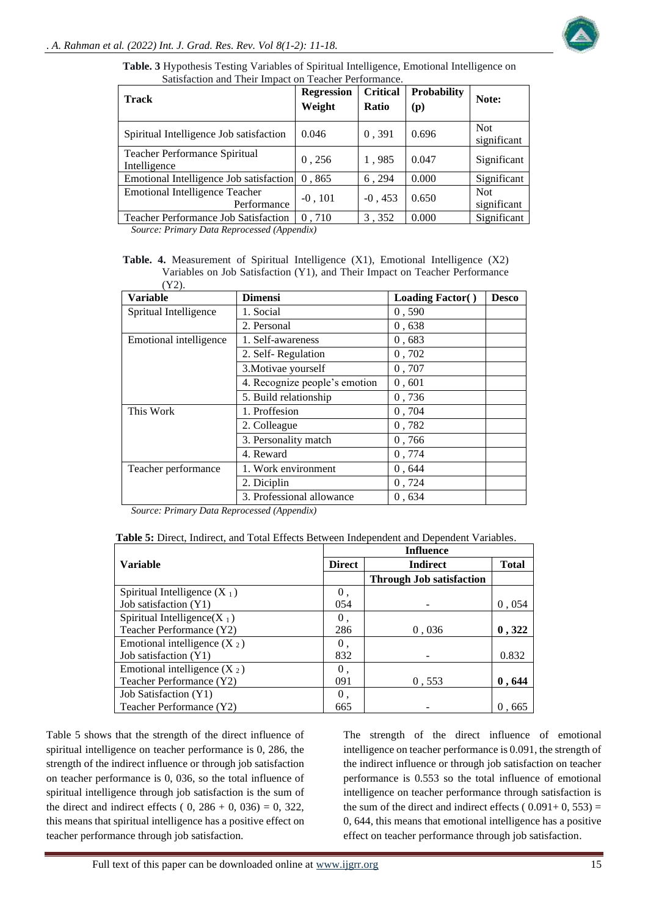

|  |                                                       |  |  | <b>Table. 3</b> Hypothesis Testing Variables of Spiritual Intelligence, Emotional Intelligence on |  |
|--|-------------------------------------------------------|--|--|---------------------------------------------------------------------------------------------------|--|
|  | Satisfaction and Their Impact on Teacher Performance. |  |  |                                                                                                   |  |

| <b>Track</b>                                         | <b>Regression</b><br>Weight | <b>Critical</b><br>Ratio | <b>Probability</b><br>(p) | Note:                     |
|------------------------------------------------------|-----------------------------|--------------------------|---------------------------|---------------------------|
| Spiritual Intelligence Job satisfaction              | 0.046                       | 0,391                    | 0.696                     | <b>Not</b><br>significant |
| Teacher Performance Spiritual<br>Intelligence        | 0,256                       | 1,985                    | 0.047                     | Significant               |
| Emotional Intelligence Job satisfaction              | 0,865                       | 6,294                    | 0.000                     | Significant               |
| <b>Emotional Intelligence Teacher</b><br>Performance | $-0, 101$                   | $-0, 453$                | 0.650                     | <b>Not</b><br>significant |
| <b>Teacher Performance Job Satisfaction</b>          | 0,710                       | 3,352                    | 0.000                     | Significant               |

*Source: Primary Data Reprocessed (Appendix)*

**Table. 4.** Measurement of Spiritual Intelligence (X1), Emotional Intelligence (X2) Variables on Job Satisfaction (Y1), and Their Impact on Teacher Performance  $(\mathbf{V2})$ 

| $\perp$ $\perp$ ).     |                               |                         |              |
|------------------------|-------------------------------|-------------------------|--------------|
| <b>Variable</b>        | <b>Dimensi</b>                | <b>Loading Factor()</b> | <b>Desco</b> |
| Spritual Intelligence  | 1. Social                     | 0,590                   |              |
|                        | 2. Personal                   | 0.638                   |              |
| Emotional intelligence | 1. Self-awareness             | 0.683                   |              |
|                        | 2. Self-Regulation            | 0,702                   |              |
|                        | 3. Motivae yourself           | 0,707                   |              |
|                        | 4. Recognize people's emotion | 0,601                   |              |
|                        | 5. Build relationship         | 0,736                   |              |
| This Work              | 1. Proffesion                 | 0,704                   |              |
|                        | 2. Colleague                  | 0,782                   |              |
|                        | 3. Personality match          | 0,766                   |              |
|                        | 4. Reward                     | 0,774                   |              |
| Teacher performance    | 1. Work environment           | 0,644                   |              |
|                        | 2. Diciplin                   | 0,724                   |              |
|                        | 3. Professional allowance     | 0,634                   |              |

*Source: Primary Data Reprocessed (Appendix)*

| <b>Table 5:</b> Direct. Indirect. and Total Effects Between Independent and Dependent Variables. |  |  |
|--------------------------------------------------------------------------------------------------|--|--|
|                                                                                                  |  |  |

|                                 | <b>Influence</b> |                                 |              |  |  |
|---------------------------------|------------------|---------------------------------|--------------|--|--|
| <b>Variable</b>                 | <b>Direct</b>    | <b>Indirect</b>                 | <b>Total</b> |  |  |
|                                 |                  | <b>Through Job satisfaction</b> |              |  |  |
| Spiritual Intelligence $(X_1)$  | 0.               |                                 |              |  |  |
| Job satisfaction (Y1)           | 054              |                                 | 0,054        |  |  |
| Spiritual Intelligence( $X_1$ ) | 0.               |                                 |              |  |  |
| Teacher Performance (Y2)        | 286              | 0.036                           | 0, 322       |  |  |
| Emotional intelligence $(X_2)$  | 0.               |                                 |              |  |  |
| Job satisfaction (Y1)           | 832              |                                 | 0.832        |  |  |
| Emotional intelligence $(X_2)$  | 0.               |                                 |              |  |  |
| Teacher Performance (Y2)        | 091              | 0.553                           | 0,644        |  |  |
| Job Satisfaction (Y1)           | 0.               |                                 |              |  |  |
| Teacher Performance (Y2)        | 665              |                                 | 0.665        |  |  |

Table 5 shows that the strength of the direct influence of spiritual intelligence on teacher performance is 0, 286, the strength of the indirect influence or through job satisfaction on teacher performance is 0, 036, so the total influence of spiritual intelligence through job satisfaction is the sum of the direct and indirect effects ( $0, 286 + 0, 036 = 0, 322$ , this means that spiritual intelligence has a positive effect on teacher performance through job satisfaction.

The strength of the direct influence of emotional intelligence on teacher performance is 0.091, the strength of the indirect influence or through job satisfaction on teacher performance is 0.553 so the total influence of emotional intelligence on teacher performance through satisfaction is the sum of the direct and indirect effects ( $0.091+0, 553$ ) = 0, 644, this means that emotional intelligence has a positive effect on teacher performance through job satisfaction.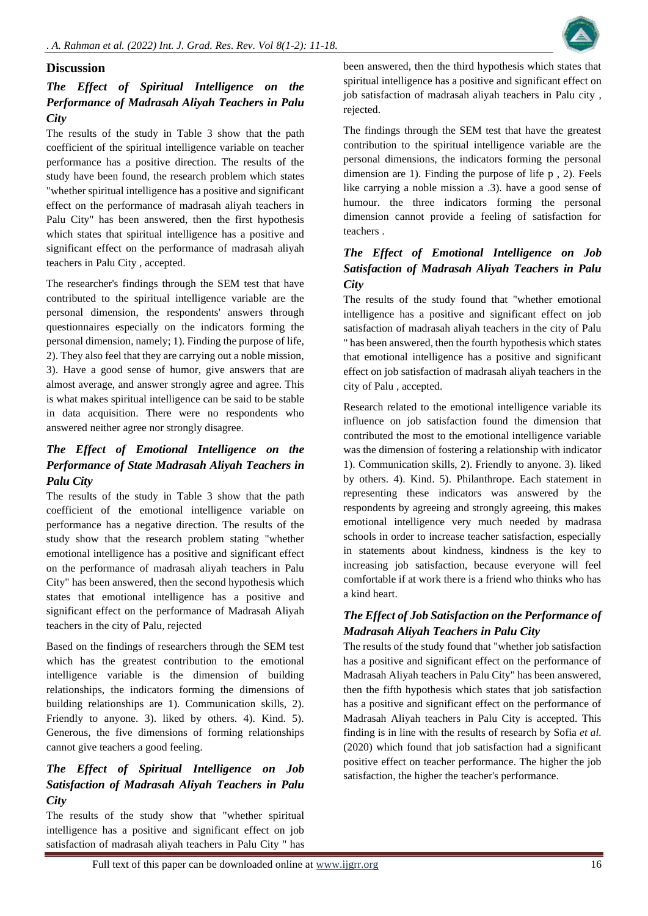

#### **Discussion**

# *The Effect of Spiritual Intelligence on the Performance of Madrasah Aliyah Teachers in Palu City*

The results of the study in Table 3 show that the path coefficient of the spiritual intelligence variable on teacher performance has a positive direction. The results of the study have been found, the research problem which states "whether spiritual intelligence has a positive and significant effect on the performance of madrasah aliyah teachers in Palu City" has been answered, then the first hypothesis which states that spiritual intelligence has a positive and significant effect on the performance of madrasah aliyah teachers in Palu City , accepted.

The researcher's findings through the SEM test that have contributed to the spiritual intelligence variable are the personal dimension, the respondents' answers through questionnaires especially on the indicators forming the personal dimension, namely; 1). Finding the purpose of life, 2). They also feel that they are carrying out a noble mission, 3). Have a good sense of humor, give answers that are almost average, and answer strongly agree and agree. This is what makes spiritual intelligence can be said to be stable in data acquisition. There were no respondents who answered neither agree nor strongly disagree.

# *The Effect of Emotional Intelligence on the Performance of State Madrasah Aliyah Teachers in Palu City*

The results of the study in Table 3 show that the path coefficient of the emotional intelligence variable on performance has a negative direction. The results of the study show that the research problem stating "whether emotional intelligence has a positive and significant effect on the performance of madrasah aliyah teachers in Palu City" has been answered, then the second hypothesis which states that emotional intelligence has a positive and significant effect on the performance of Madrasah Aliyah teachers in the city of Palu, rejected

Based on the findings of researchers through the SEM test which has the greatest contribution to the emotional intelligence variable is the dimension of building relationships, the indicators forming the dimensions of building relationships are 1). Communication skills, 2). Friendly to anyone. 3). liked by others. 4). Kind. 5). Generous, the five dimensions of forming relationships cannot give teachers a good feeling.

# *The Effect of Spiritual Intelligence on Job Satisfaction of Madrasah Aliyah Teachers in Palu City*

The results of the study show that "whether spiritual intelligence has a positive and significant effect on job satisfaction of madrasah aliyah teachers in Palu City " has been answered, then the third hypothesis which states that spiritual intelligence has a positive and significant effect on job satisfaction of madrasah aliyah teachers in Palu city , rejected.

The findings through the SEM test that have the greatest contribution to the spiritual intelligence variable are the personal dimensions, the indicators forming the personal dimension are 1). Finding the purpose of life p , 2). Feels like carrying a noble mission a .3). have a good sense of humour. the three indicators forming the personal dimension cannot provide a feeling of satisfaction for teachers .

# *The Effect of Emotional Intelligence on Job Satisfaction of Madrasah Aliyah Teachers in Palu City*

The results of the study found that "whether emotional intelligence has a positive and significant effect on job satisfaction of madrasah aliyah teachers in the city of Palu " has been answered, then the fourth hypothesis which states that emotional intelligence has a positive and significant effect on job satisfaction of madrasah aliyah teachers in the city of Palu , accepted.

Research related to the emotional intelligence variable its influence on job satisfaction found the dimension that contributed the most to the emotional intelligence variable was the dimension of fostering a relationship with indicator 1). Communication skills, 2). Friendly to anyone. 3). liked by others. 4). Kind. 5). Philanthrope. Each statement in representing these indicators was answered by the respondents by agreeing and strongly agreeing, this makes emotional intelligence very much needed by madrasa schools in order to increase teacher satisfaction, especially in statements about kindness, kindness is the key to increasing job satisfaction, because everyone will feel comfortable if at work there is a friend who thinks who has a kind heart.

# *The Effect of Job Satisfaction on the Performance of Madrasah Aliyah Teachers in Palu City*

The results of the study found that "whether job satisfaction has a positive and significant effect on the performance of Madrasah Aliyah teachers in Palu City" has been answered, then the fifth hypothesis which states that job satisfaction has a positive and significant effect on the performance of Madrasah Aliyah teachers in Palu City is accepted. This finding is in line with the results of research by Sofia *et al.* (2020) which found that job satisfaction had a significant positive effect on teacher performance. The higher the job satisfaction, the higher the teacher's performance.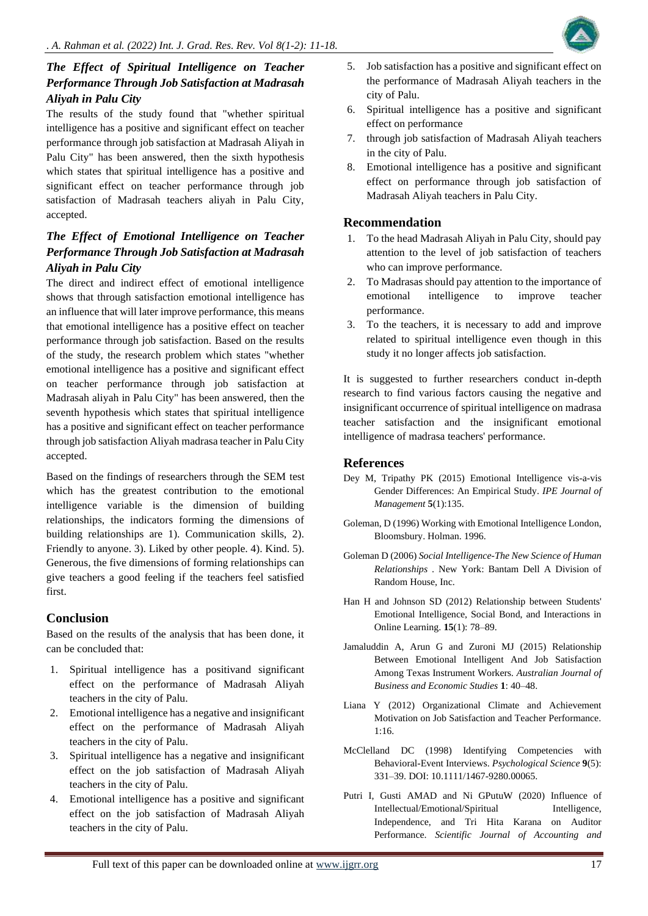

# *The Effect of Spiritual Intelligence on Teacher Performance Through Job Satisfaction at Madrasah Aliyah in Palu City*

The results of the study found that "whether spiritual intelligence has a positive and significant effect on teacher performance through job satisfaction at Madrasah Aliyah in Palu City" has been answered, then the sixth hypothesis which states that spiritual intelligence has a positive and significant effect on teacher performance through job satisfaction of Madrasah teachers aliyah in Palu City, accepted.

# *The Effect of Emotional Intelligence on Teacher Performance Through Job Satisfaction at Madrasah Aliyah in Palu City*

The direct and indirect effect of emotional intelligence shows that through satisfaction emotional intelligence has an influence that will later improve performance, this means that emotional intelligence has a positive effect on teacher performance through job satisfaction. Based on the results of the study, the research problem which states "whether emotional intelligence has a positive and significant effect on teacher performance through job satisfaction at Madrasah aliyah in Palu City" has been answered, then the seventh hypothesis which states that spiritual intelligence has a positive and significant effect on teacher performance through job satisfaction Aliyah madrasa teacher in Palu City accepted.

Based on the findings of researchers through the SEM test which has the greatest contribution to the emotional intelligence variable is the dimension of building relationships, the indicators forming the dimensions of building relationships are 1). Communication skills, 2). Friendly to anyone. 3). Liked by other people. 4). Kind. 5). Generous, the five dimensions of forming relationships can give teachers a good feeling if the teachers feel satisfied first.

# **Conclusion**

Based on the results of the analysis that has been done, it can be concluded that:

- 1. Spiritual intelligence has a positivand significant effect on the performance of Madrasah Aliyah teachers in the city of Palu.
- 2. Emotional intelligence has a negative and insignificant effect on the performance of Madrasah Aliyah teachers in the city of Palu.
- 3. Spiritual intelligence has a negative and insignificant effect on the job satisfaction of Madrasah Aliyah teachers in the city of Palu.
- 4. Emotional intelligence has a positive and significant effect on the job satisfaction of Madrasah Aliyah teachers in the city of Palu.
- 5. Job satisfaction has a positive and significant effect on the performance of Madrasah Aliyah teachers in the city of Palu.
- 6. Spiritual intelligence has a positive and significant effect on performance
- 7. through job satisfaction of Madrasah Aliyah teachers in the city of Palu.
- 8. Emotional intelligence has a positive and significant effect on performance through job satisfaction of Madrasah Aliyah teachers in Palu City.

## **Recommendation**

- 1. To the head Madrasah Aliyah in Palu City, should pay attention to the level of job satisfaction of teachers who can improve performance.
- 2. To Madrasas should pay attention to the importance of emotional intelligence to improve teacher performance.
- 3. To the teachers, it is necessary to add and improve related to spiritual intelligence even though in this study it no longer affects job satisfaction.

It is suggested to further researchers conduct in-depth research to find various factors causing the negative and insignificant occurrence of spiritual intelligence on madrasa teacher satisfaction and the insignificant emotional intelligence of madrasa teachers' performance.

## **References**

- Dey M, Tripathy PK (2015) Emotional Intelligence vis-a-vis Gender Differences: An Empirical Study. *IPE Journal of Management* **5**(1):135.
- Goleman, D (1996) Working with Emotional Intelligence London, Bloomsbury. Holman. 1996.
- Goleman D (2006) *Social Intelligence-The New Science of Human Relationships* . New York: Bantam Dell A Division of Random House, Inc.
- Han H and Johnson SD (2012) Relationship between Students' Emotional Intelligence, Social Bond, and Interactions in Online Learning. **15**(1): 78–89.
- Jamaluddin A, Arun G and Zuroni MJ (2015) Relationship Between Emotional Intelligent And Job Satisfaction Among Texas Instrument Workers*. Australian Journal of Business and Economic Studies* **1**: 40–48.
- Liana Y (2012) Organizational Climate and Achievement Motivation on Job Satisfaction and Teacher Performance. 1:16.
- McClelland DC (1998) Identifying Competencies with Behavioral-Event Interviews. *Psychological Science* **9**(5): 331–39. DOI: 10.1111/1467-9280.00065.
- Putri I, Gusti AMAD and Ni GPutuW (2020) Influence of Intellectual/Emotional/Spiritual Intelligence, Independence, and Tri Hita Karana on Auditor Performance. *Scientific Journal of Accounting and*